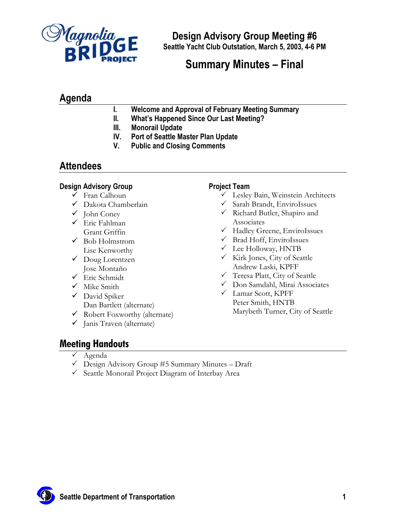

# **Summary Minutes – Final**

## **Agenda**

- **I. Welcome and Approval of February Meeting Summary**
- **II. What's Happened Since Our Last Meeting?**
- **III. Monorail Update**
- **IV. Port of Seattle Master Plan Update**
- **V. Public and Closing Comments**

### **Attendees**

#### **Design Advisory Group**

- $\checkmark$  Fran Calhoun
- $\checkmark$  Dakota Chamberlain
- $\checkmark$  John Coney
- $\checkmark$  Eric Fahlman Grant Griffin
- $\checkmark$  Bob Holmstrom Lise Kenworthy
- $\checkmark$  Doug Lorentzen Jose Montaño
- $\checkmark$  Eric Schmidt
- $\checkmark$  Mike Smith
- $\checkmark$  David Spiker Dan Bartlett (alternate)
- 9 Robert Foxworthy (alternate)
- $\checkmark$  Janis Traven (alternate)

#### **Project Team**

- $\checkmark$  Lesley Bain, Weinstein Architects
- $\checkmark$  Sarah Brandt, EnviroIssues
- $\checkmark$  Richard Butler, Shapiro and Associates
- $\checkmark$  Hadley Greene, EnviroIssues
- $\checkmark$  Brad Hoff, EnviroIssues
- $\checkmark$  Lee Holloway, HNTB
- $\checkmark$  Kirk Jones, City of Seattle Andrew Laski, KPFF
- $\checkmark$  Teresa Platt, City of Seattle
- $\checkmark$  Don Samdahl, Mirai Associates
- 3 Lamar Scott, KPFF Peter Smith, HNTB Marybeth Turner, City of Seattle

## **Meeting Handouts**

- $\checkmark$  Agenda
- $\checkmark$  Design Advisory Group #5 Summary Minutes Draft
- $\checkmark$  Seattle Monorail Project Diagram of Interbay Area

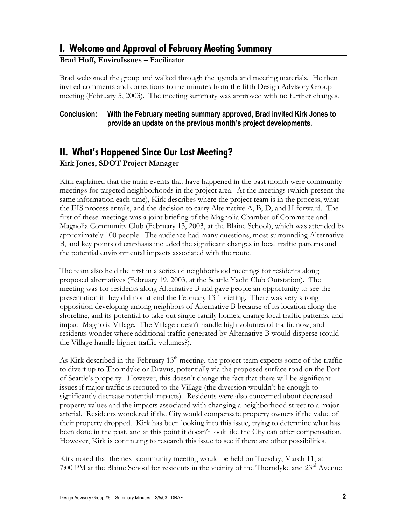## **I. Welcome and Approval of February Meeting Summary**

#### **Brad Hoff, EnviroIssues – Facilitator**

Brad welcomed the group and walked through the agenda and meeting materials. He then invited comments and corrections to the minutes from the fifth Design Advisory Group meeting (February 5, 2003). The meeting summary was approved with no further changes.

#### **Conclusion: With the February meeting summary approved, Brad invited Kirk Jones to provide an update on the previous month's project developments.**

# **II. What's Happened Since Our Last Meeting?**

#### **Kirk Jones, SDOT Project Manager**

Kirk explained that the main events that have happened in the past month were community meetings for targeted neighborhoods in the project area. At the meetings (which present the same information each time), Kirk describes where the project team is in the process, what the EIS process entails, and the decision to carry Alternative A, B, D, and H forward. The first of these meetings was a joint briefing of the Magnolia Chamber of Commerce and Magnolia Community Club (February 13, 2003, at the Blaine School), which was attended by approximately 100 people. The audience had many questions, most surrounding Alternative B, and key points of emphasis included the significant changes in local traffic patterns and the potential environmental impacts associated with the route.

The team also held the first in a series of neighborhood meetings for residents along proposed alternatives (February 19, 2003, at the Seattle Yacht Club Outstation). The meeting was for residents along Alternative B and gave people an opportunity to see the presentation if they did not attend the February  $13<sup>th</sup>$  briefing. There was very strong opposition developing among neighbors of Alternative B because of its location along the shoreline, and its potential to take out single-family homes, change local traffic patterns, and impact Magnolia Village. The Village doesn't handle high volumes of traffic now, and residents wonder where additional traffic generated by Alternative B would disperse (could the Village handle higher traffic volumes?).

As Kirk described in the February  $13<sup>th</sup>$  meeting, the project team expects some of the traffic to divert up to Thorndyke or Dravus, potentially via the proposed surface road on the Port of Seattle's property. However, this doesn't change the fact that there will be significant issues if major traffic is rerouted to the Village (the diversion wouldn't be enough to significantly decrease potential impacts). Residents were also concerned about decreased property values and the impacts associated with changing a neighborhood street to a major arterial. Residents wondered if the City would compensate property owners if the value of their property dropped. Kirk has been looking into this issue, trying to determine what has been done in the past, and at this point it doesn't look like the City can offer compensation. However, Kirk is continuing to research this issue to see if there are other possibilities.

Kirk noted that the next community meeting would be held on Tuesday, March 11, at 7:00 PM at the Blaine School for residents in the vicinity of the Thorndyke and  $23<sup>rd</sup>$  Avenue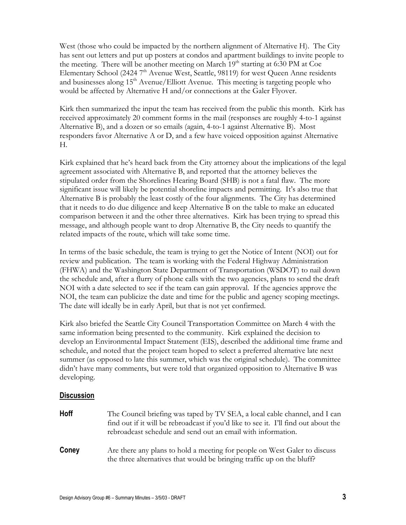West (those who could be impacted by the northern alignment of Alternative H). The City has sent out letters and put up posters at condos and apartment buildings to invite people to the meeting. There will be another meeting on March  $19<sup>th</sup>$  starting at 6:30 PM at Coe Elementary School (2424  $7<sup>th</sup>$  Avenue West, Seattle, 98119) for west Queen Anne residents and businesses along  $15<sup>th</sup>$  Avenue/Elliott Avenue. This meeting is targeting people who would be affected by Alternative H and/or connections at the Galer Flyover.

Kirk then summarized the input the team has received from the public this month. Kirk has received approximately 20 comment forms in the mail (responses are roughly 4-to-1 against Alternative B), and a dozen or so emails (again, 4-to-1 against Alternative B). Most responders favor Alternative A or D, and a few have voiced opposition against Alternative H.

Kirk explained that he's heard back from the City attorney about the implications of the legal agreement associated with Alternative B, and reported that the attorney believes the stipulated order from the Shorelines Hearing Board (SHB) is not a fatal flaw. The more significant issue will likely be potential shoreline impacts and permitting. It's also true that Alternative B is probably the least costly of the four alignments. The City has determined that it needs to do due diligence and keep Alternative B on the table to make an educated comparison between it and the other three alternatives. Kirk has been trying to spread this message, and although people want to drop Alternative B, the City needs to quantify the related impacts of the route, which will take some time.

In terms of the basic schedule, the team is trying to get the Notice of Intent (NOI) out for review and publication. The team is working with the Federal Highway Administration (FHWA) and the Washington State Department of Transportation (WSDOT) to nail down the schedule and, after a flurry of phone calls with the two agencies, plans to send the draft NOI with a date selected to see if the team can gain approval. If the agencies approve the NOI, the team can publicize the date and time for the public and agency scoping meetings. The date will ideally be in early April, but that is not yet confirmed.

Kirk also briefed the Seattle City Council Transportation Committee on March 4 with the same information being presented to the community. Kirk explained the decision to develop an Environmental Impact Statement (EIS), described the additional time frame and schedule, and noted that the project team hoped to select a preferred alternative late next summer (as opposed to late this summer, which was the original schedule). The committee didn't have many comments, but were told that organized opposition to Alternative B was developing.

#### **Discussion**

| <b>Hoff</b> | The Council briefing was taped by TV SEA, a local cable channel, and I can<br>find out if it will be rebroadcast if you'd like to see it. I'll find out about the<br>rebroadcast schedule and send out an email with information. |
|-------------|-----------------------------------------------------------------------------------------------------------------------------------------------------------------------------------------------------------------------------------|
| Coney       | Are there any plans to hold a meeting for people on West Galer to discuss<br>the three alternatives that would be bringing traffic up on the bluff?                                                                               |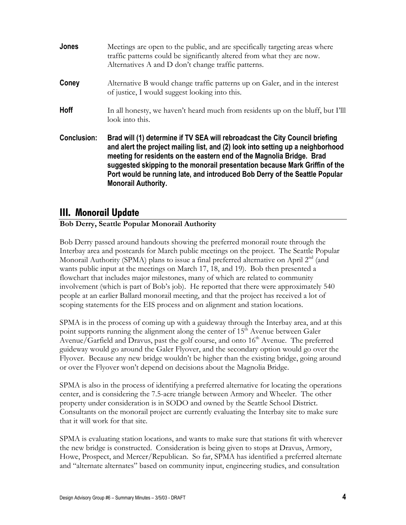| <b>Jones</b>       | Meetings are open to the public, and are specifically targeting areas where<br>traffic patterns could be significantly altered from what they are now.<br>Alternatives A and D don't change traffic patterns.                                                                                                                                                                                                                        |
|--------------------|--------------------------------------------------------------------------------------------------------------------------------------------------------------------------------------------------------------------------------------------------------------------------------------------------------------------------------------------------------------------------------------------------------------------------------------|
| Coney              | Alternative B would change traffic patterns up on Galer, and in the interest<br>of justice, I would suggest looking into this.                                                                                                                                                                                                                                                                                                       |
| <b>Hoff</b>        | In all honesty, we haven't heard much from residents up on the bluff, but I'll<br>look into this.                                                                                                                                                                                                                                                                                                                                    |
| <b>Conclusion:</b> | Brad will (1) determine if TV SEA will rebroadcast the City Council briefing<br>and alert the project mailing list, and (2) look into setting up a neighborhood<br>meeting for residents on the eastern end of the Magnolia Bridge. Brad<br>suggested skipping to the monorail presentation because Mark Griffin of the<br>Port would be running late, and introduced Bob Derry of the Seattle Popular<br><b>Monorail Authority.</b> |

### **III. Monorail Update**

#### **Bob Derry, Seattle Popular Monorail Authority**

Bob Derry passed around handouts showing the preferred monorail route through the Interbay area and postcards for March public meetings on the project. The Seattle Popular Monorail Authority (SPMA) plans to issue a final preferred alternative on April  $2<sup>nd</sup>$  (and wants public input at the meetings on March 17, 18, and 19). Bob then presented a flowchart that includes major milestones, many of which are related to community involvement (which is part of Bob's job). He reported that there were approximately 540 people at an earlier Ballard monorail meeting, and that the project has received a lot of scoping statements for the EIS process and on alignment and station locations.

SPMA is in the process of coming up with a guideway through the Interbay area, and at this point supports running the alignment along the center of  $15<sup>th</sup>$  Avenue between Galer Avenue/Garfield and Dravus, past the golf course, and onto  $16<sup>th</sup>$  Avenue. The preferred guideway would go around the Galer Flyover, and the secondary option would go over the Flyover. Because any new bridge wouldn't be higher than the existing bridge, going around or over the Flyover won't depend on decisions about the Magnolia Bridge.

SPMA is also in the process of identifying a preferred alternative for locating the operations center, and is considering the 7.5-acre triangle between Armory and Wheeler. The other property under consideration is in SODO and owned by the Seattle School District. Consultants on the monorail project are currently evaluating the Interbay site to make sure that it will work for that site.

SPMA is evaluating station locations, and wants to make sure that stations fit with wherever the new bridge is constructed. Consideration is being given to stops at Dravus, Armory, Howe, Prospect, and Mercer/Republican. So far, SPMA has identified a preferred alternate and "alternate alternates" based on community input, engineering studies, and consultation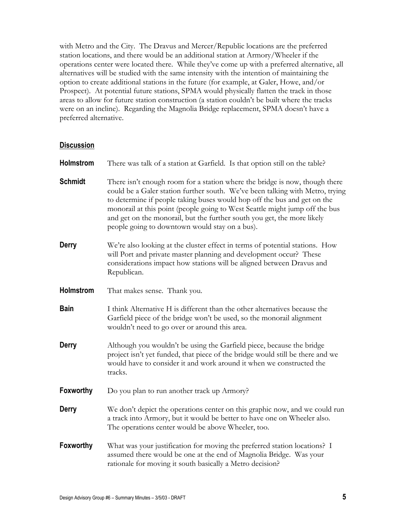with Metro and the City. The Dravus and Mercer/Republic locations are the preferred station locations, and there would be an additional station at Armory/Wheeler if the operations center were located there. While they've come up with a preferred alternative, all alternatives will be studied with the same intensity with the intention of maintaining the option to create additional stations in the future (for example, at Galer, Howe, and/or Prospect). At potential future stations, SPMA would physically flatten the track in those areas to allow for future station construction (a station couldn't be built where the tracks were on an incline). Regarding the Magnolia Bridge replacement, SPMA doesn't have a preferred alternative.

#### **Discussion**

| <b>Holmstrom</b> | There was talk of a station at Garfield. Is that option still on the table?                                                                                                                                                                                                                                                                                                                                                                          |
|------------------|------------------------------------------------------------------------------------------------------------------------------------------------------------------------------------------------------------------------------------------------------------------------------------------------------------------------------------------------------------------------------------------------------------------------------------------------------|
| <b>Schmidt</b>   | There isn't enough room for a station where the bridge is now, though there<br>could be a Galer station further south. We've been talking with Metro, trying<br>to determine if people taking buses would hop off the bus and get on the<br>monorail at this point (people going to West Seattle might jump off the bus<br>and get on the monorail, but the further south you get, the more likely<br>people going to downtown would stay on a bus). |
| Derry            | We're also looking at the cluster effect in terms of potential stations. How<br>will Port and private master planning and development occur? These<br>considerations impact how stations will be aligned between Dravus and<br>Republican.                                                                                                                                                                                                           |
| Holmstrom        | That makes sense. Thank you.                                                                                                                                                                                                                                                                                                                                                                                                                         |
| <b>Bain</b>      | I think Alternative H is different than the other alternatives because the<br>Garfield piece of the bridge won't be used, so the monorail alignment<br>wouldn't need to go over or around this area.                                                                                                                                                                                                                                                 |
| <b>Derry</b>     | Although you wouldn't be using the Garfield piece, because the bridge<br>project isn't yet funded, that piece of the bridge would still be there and we<br>would have to consider it and work around it when we constructed the<br>tracks.                                                                                                                                                                                                           |
| <b>Foxworthy</b> | Do you plan to run another track up Armory?                                                                                                                                                                                                                                                                                                                                                                                                          |
| <b>Derry</b>     | We don't depict the operations center on this graphic now, and we could run<br>a track into Armory, but it would be better to have one on Wheeler also.<br>The operations center would be above Wheeler, too.                                                                                                                                                                                                                                        |
| <b>Foxworthy</b> | What was your justification for moving the preferred station locations? I<br>assumed there would be one at the end of Magnolia Bridge. Was your<br>rationale for moving it south basically a Metro decision?                                                                                                                                                                                                                                         |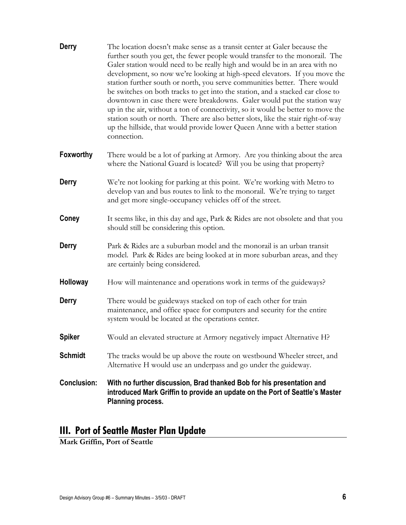| <b>Derry</b>       | The location doesn't make sense as a transit center at Galer because the<br>further south you get, the fewer people would transfer to the monorail. The<br>Galer station would need to be really high and would be in an area with no<br>development, so now we're looking at high-speed elevators. If you move the<br>station further south or north, you serve communities better. There would<br>be switches on both tracks to get into the station, and a stacked car close to<br>downtown in case there were breakdowns. Galer would put the station way<br>up in the air, without a ton of connectivity, so it would be better to move the<br>station south or north. There are also better slots, like the stair right-of-way<br>up the hillside, that would provide lower Queen Anne with a better station<br>connection. |
|--------------------|-----------------------------------------------------------------------------------------------------------------------------------------------------------------------------------------------------------------------------------------------------------------------------------------------------------------------------------------------------------------------------------------------------------------------------------------------------------------------------------------------------------------------------------------------------------------------------------------------------------------------------------------------------------------------------------------------------------------------------------------------------------------------------------------------------------------------------------|
| <b>Foxworthy</b>   | There would be a lot of parking at Armory. Are you thinking about the area<br>where the National Guard is located? Will you be using that property?                                                                                                                                                                                                                                                                                                                                                                                                                                                                                                                                                                                                                                                                               |
| <b>Derry</b>       | We're not looking for parking at this point. We're working with Metro to<br>develop van and bus routes to link to the monorail. We're trying to target<br>and get more single-occupancy vehicles off of the street.                                                                                                                                                                                                                                                                                                                                                                                                                                                                                                                                                                                                               |
| Coney              | It seems like, in this day and age, Park & Rides are not obsolete and that you<br>should still be considering this option.                                                                                                                                                                                                                                                                                                                                                                                                                                                                                                                                                                                                                                                                                                        |
| Derry              | Park & Rides are a suburban model and the monorail is an urban transit<br>model. Park & Rides are being looked at in more suburban areas, and they<br>are certainly being considered.                                                                                                                                                                                                                                                                                                                                                                                                                                                                                                                                                                                                                                             |
| Holloway           | How will maintenance and operations work in terms of the guideways?                                                                                                                                                                                                                                                                                                                                                                                                                                                                                                                                                                                                                                                                                                                                                               |
| <b>Derry</b>       | There would be guideways stacked on top of each other for train<br>maintenance, and office space for computers and security for the entire<br>system would be located at the operations center.                                                                                                                                                                                                                                                                                                                                                                                                                                                                                                                                                                                                                                   |
| <b>Spiker</b>      | Would an elevated structure at Armory negatively impact Alternative H?                                                                                                                                                                                                                                                                                                                                                                                                                                                                                                                                                                                                                                                                                                                                                            |
| <b>Schmidt</b>     | The tracks would be up above the route on westbound Wheeler street, and<br>Alternative H would use an underpass and go under the guideway.                                                                                                                                                                                                                                                                                                                                                                                                                                                                                                                                                                                                                                                                                        |
| <b>Conclusion:</b> | With no further discussion, Brad thanked Bob for his presentation and<br>introduced Mark Griffin to provide an update on the Port of Seattle's Master<br><b>Planning process.</b>                                                                                                                                                                                                                                                                                                                                                                                                                                                                                                                                                                                                                                                 |

# **III. Port of Seattle Master Plan Update**

**Mark Griffin, Port of Seattle**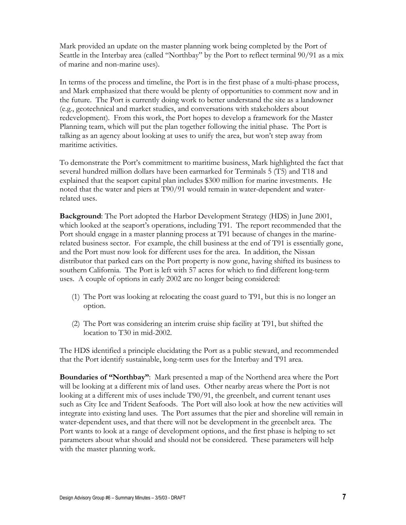Mark provided an update on the master planning work being completed by the Port of Seattle in the Interbay area (called "Northbay" by the Port to reflect terminal 90/91 as a mix of marine and non-marine uses).

In terms of the process and timeline, the Port is in the first phase of a multi-phase process, and Mark emphasized that there would be plenty of opportunities to comment now and in the future. The Port is currently doing work to better understand the site as a landowner (e.g., geotechnical and market studies, and conversations with stakeholders about redevelopment). From this work, the Port hopes to develop a framework for the Master Planning team, which will put the plan together following the initial phase. The Port is talking as an agency about looking at uses to unify the area, but won't step away from maritime activities.

To demonstrate the Port's commitment to maritime business, Mark highlighted the fact that several hundred million dollars have been earmarked for Terminals 5 (T5) and T18 and explained that the seaport capital plan includes \$300 million for marine investments. He noted that the water and piers at T90/91 would remain in water-dependent and waterrelated uses.

**Background**: The Port adopted the Harbor Development Strategy (HDS) in June 2001, which looked at the seaport's operations, including T91. The report recommended that the Port should engage in a master planning process at T91 because of changes in the marinerelated business sector. For example, the chill business at the end of T91 is essentially gone, and the Port must now look for different uses for the area. In addition, the Nissan distributor that parked cars on the Port property is now gone, having shifted its business to southern California. The Port is left with 57 acres for which to find different long-term uses. A couple of options in early 2002 are no longer being considered:

- (1) The Port was looking at relocating the coast guard to T91, but this is no longer an option.
- (2) The Port was considering an interim cruise ship facility at T91, but shifted the location to T30 in mid-2002.

The HDS identified a principle elucidating the Port as a public steward, and recommended that the Port identify sustainable, long-term uses for the Interbay and T91 area.

**Boundaries of "Northbay"**: Mark presented a map of the Northend area where the Port will be looking at a different mix of land uses. Other nearby areas where the Port is not looking at a different mix of uses include T90/91, the greenbelt, and current tenant uses such as City Ice and Trident Seafoods. The Port will also look at how the new activities will integrate into existing land uses. The Port assumes that the pier and shoreline will remain in water-dependent uses, and that there will not be development in the greenbelt area. The Port wants to look at a range of development options, and the first phase is helping to set parameters about what should and should not be considered. These parameters will help with the master planning work.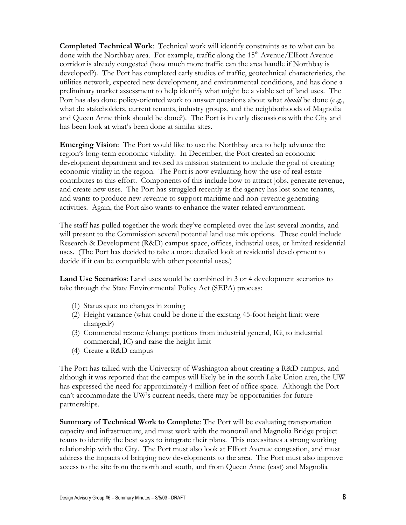**Completed Technical Work**: Technical work will identify constraints as to what can be done with the Northbay area. For example, traffic along the  $15<sup>th</sup>$  Avenue/Elliott Avenue corridor is already congested (how much more traffic can the area handle if Northbay is developed?). The Port has completed early studies of traffic, geotechnical characteristics, the utilities network, expected new development, and environmental conditions, and has done a preliminary market assessment to help identify what might be a viable set of land uses. The Port has also done policy-oriented work to answer questions about what *should* be done (e.g., what do stakeholders, current tenants, industry groups, and the neighborhoods of Magnolia and Queen Anne think should be done?). The Port is in early discussions with the City and has been look at what's been done at similar sites.

**Emerging Vision**: The Port would like to use the Northbay area to help advance the region's long-term economic viability. In December, the Port created an economic development department and revised its mission statement to include the goal of creating economic vitality in the region. The Port is now evaluating how the use of real estate contributes to this effort. Components of this include how to attract jobs, generate revenue, and create new uses. The Port has struggled recently as the agency has lost some tenants, and wants to produce new revenue to support maritime and non-revenue generating activities. Again, the Port also wants to enhance the water-related environment.

The staff has pulled together the work they've completed over the last several months, and will present to the Commission several potential land use mix options. These could include Research & Development (R&D) campus space, offices, industrial uses, or limited residential uses. (The Port has decided to take a more detailed look at residential development to decide if it can be compatible with other potential uses.)

**Land Use Scenarios**: Land uses would be combined in 3 or 4 development scenarios to take through the State Environmental Policy Act (SEPA) process:

- (1) Status quo: no changes in zoning
- (2) Height variance (what could be done if the existing 45-foot height limit were changed?)
- (3) Commercial rezone (change portions from industrial general, IG, to industrial commercial, IC) and raise the height limit
- (4) Create a R&D campus

The Port has talked with the University of Washington about creating a R&D campus, and although it was reported that the campus will likely be in the south Lake Union area, the UW has expressed the need for approximately 4 million feet of office space. Although the Port can't accommodate the UW's current needs, there may be opportunities for future partnerships.

**Summary of Technical Work to Complete**: The Port will be evaluating transportation capacity and infrastructure, and must work with the monorail and Magnolia Bridge project teams to identify the best ways to integrate their plans. This necessitates a strong working relationship with the City. The Port must also look at Elliott Avenue congestion, and must address the impacts of bringing new developments to the area. The Port must also improve access to the site from the north and south, and from Queen Anne (east) and Magnolia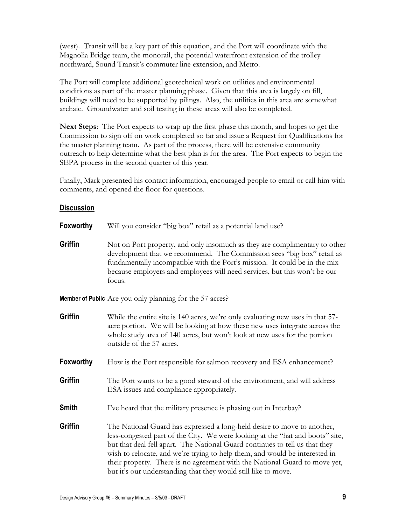(west). Transit will be a key part of this equation, and the Port will coordinate with the Magnolia Bridge team, the monorail, the potential waterfront extension of the trolley northward, Sound Transit's commuter line extension, and Metro.

The Port will complete additional geotechnical work on utilities and environmental conditions as part of the master planning phase. Given that this area is largely on fill, buildings will need to be supported by pilings. Also, the utilities in this area are somewhat archaic. Groundwater and soil testing in these areas will also be completed.

**Next Steps**: The Port expects to wrap up the first phase this month, and hopes to get the Commission to sign off on work completed so far and issue a Request for Qualifications for the master planning team. As part of the process, there will be extensive community outreach to help determine what the best plan is for the area. The Port expects to begin the SEPA process in the second quarter of this year.

Finally, Mark presented his contact information, encouraged people to email or call him with comments, and opened the floor for questions.

#### **Discussion**

| Foxworthy | Will you consider "big box" retail as a potential land use?                                                                                                                                                                                                                                                               |
|-----------|---------------------------------------------------------------------------------------------------------------------------------------------------------------------------------------------------------------------------------------------------------------------------------------------------------------------------|
| Griffin   | Not on Port property, and only insomuch as they are complimentary to other<br>development that we recommend. The Commission sees "big box" retail as<br>fundamentally incompatible with the Port's mission. It could be in the mix<br>because employers and employees will need services, but this won't be our<br>focus. |
|           | <b>Member of Public</b> Are you only planning for the 57 acres?                                                                                                                                                                                                                                                           |
| Griffin   | While the entire site is 140 acres, we're only evaluating new uses in that 57-<br>acre portion. We will be looking at how these new uses integrate across the<br>whole study area of 140 acres, but won't look at new uses for the portion<br>outside of the 57 acres.                                                    |
| Foxworthy | How is the Port responsible for salmon recovery and ESA enhancement?                                                                                                                                                                                                                                                      |
| Griffin   | The Port wants to be a good steward of the environment, and will address<br>ESA issues and compliance appropriately.                                                                                                                                                                                                      |
| Smith     | I've heard that the military presence is phasing out in Interbay?                                                                                                                                                                                                                                                         |
| Griffin   | The National Guard has expressed a long-held desire to move to another,<br>$\frac{1}{2}$                                                                                                                                                                                                                                  |

less-congested part of the City. We were looking at the "hat and boots" site, but that deal fell apart. The National Guard continues to tell us that they wish to relocate, and we're trying to help them, and would be interested in their property. There is no agreement with the National Guard to move yet, but it's our understanding that they would still like to move.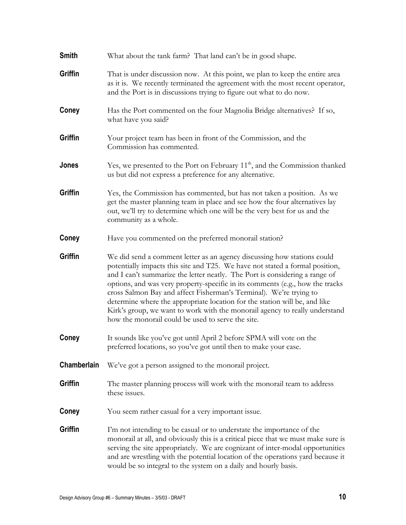| Smith       | What about the tank farm? That land can't be in good shape.                                                                                                                                                                                                                                                                                                                                                                                                                                                                                                                                                     |
|-------------|-----------------------------------------------------------------------------------------------------------------------------------------------------------------------------------------------------------------------------------------------------------------------------------------------------------------------------------------------------------------------------------------------------------------------------------------------------------------------------------------------------------------------------------------------------------------------------------------------------------------|
| Griffin     | That is under discussion now. At this point, we plan to keep the entire area<br>as it is. We recently terminated the agreement with the most recent operator,<br>and the Port is in discussions trying to figure out what to do now.                                                                                                                                                                                                                                                                                                                                                                            |
| Coney       | Has the Port commented on the four Magnolia Bridge alternatives? If so,<br>what have you said?                                                                                                                                                                                                                                                                                                                                                                                                                                                                                                                  |
| Griffin     | Your project team has been in front of the Commission, and the<br>Commission has commented.                                                                                                                                                                                                                                                                                                                                                                                                                                                                                                                     |
| Jones       | Yes, we presented to the Port on February $11th$ , and the Commission thanked<br>us but did not express a preference for any alternative.                                                                                                                                                                                                                                                                                                                                                                                                                                                                       |
| Griffin     | Yes, the Commission has commented, but has not taken a position. As we<br>get the master planning team in place and see how the four alternatives lay<br>out, we'll try to determine which one will be the very best for us and the<br>community as a whole.                                                                                                                                                                                                                                                                                                                                                    |
| Coney       | Have you commented on the preferred monorail station?                                                                                                                                                                                                                                                                                                                                                                                                                                                                                                                                                           |
| Griffin     | We did send a comment letter as an agency discussing how stations could<br>potentially impacts this site and T25. We have not stated a formal position,<br>and I can't summarize the letter neatly. The Port is considering a range of<br>options, and was very property-specific in its comments (e.g., how the tracks<br>cross Salmon Bay and affect Fisherman's Terminal). We're trying to<br>determine where the appropriate location for the station will be, and like<br>Kirk's group, we want to work with the monorail agency to really understand<br>how the monorail could be used to serve the site. |
| Coney       | It sounds like you've got until April 2 before SPMA will vote on the<br>preferred locations, so you've got until then to make your case.                                                                                                                                                                                                                                                                                                                                                                                                                                                                        |
| Chamberlain | We've got a person assigned to the monorail project.                                                                                                                                                                                                                                                                                                                                                                                                                                                                                                                                                            |
| Griffin     | The master planning process will work with the monorail team to address<br>these issues.                                                                                                                                                                                                                                                                                                                                                                                                                                                                                                                        |
| Coney       | You seem rather casual for a very important issue.                                                                                                                                                                                                                                                                                                                                                                                                                                                                                                                                                              |
| Griffin     | I'm not intending to be casual or to understate the importance of the<br>monoral at all, and obviously this is a critical piece that we must make sure is<br>serving the site appropriately. We are cognizant of inter-modal opportunities<br>and are wrestling with the potential location of the operations yard because it<br>would be so integral to the system on a daily and hourly basis.                                                                                                                                                                                                                |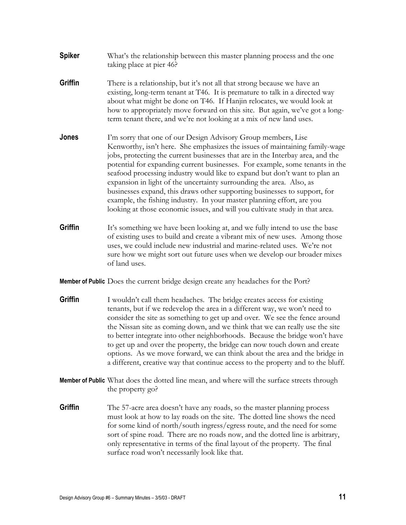- **Spiker** What's the relationship between this master planning process and the one taking place at pier 46?
- **Griffin** There is a relationship, but it's not all that strong because we have an existing, long-term tenant at T46. It is premature to talk in a directed way about what might be done on T46. If Hanjin relocates, we would look at how to appropriately move forward on this site. But again, we've got a longterm tenant there, and we're not looking at a mix of new land uses.
- **Jones** I'm sorry that one of our Design Advisory Group members, Lise Kenworthy, isn't here. She emphasizes the issues of maintaining family-wage jobs, protecting the current businesses that are in the Interbay area, and the potential for expanding current businesses. For example, some tenants in the seafood processing industry would like to expand but don't want to plan an expansion in light of the uncertainty surrounding the area. Also, as businesses expand, this draws other supporting businesses to support, for example, the fishing industry. In your master planning effort, are you looking at those economic issues, and will you cultivate study in that area.
- **Griffin** It's something we have been looking at, and we fully intend to use the base of existing uses to build and create a vibrant mix of new uses. Among those uses, we could include new industrial and marine-related uses. We're not sure how we might sort out future uses when we develop our broader mixes of land uses.

**Member of Public** Does the current bridge design create any headaches for the Port?

- **Griffin** I wouldn't call them headaches. The bridge creates access for existing tenants, but if we redevelop the area in a different way, we won't need to consider the site as something to get up and over. We see the fence around the Nissan site as coming down, and we think that we can really use the site to better integrate into other neighborhoods. Because the bridge won't have to get up and over the property, the bridge can now touch down and create options. As we move forward, we can think about the area and the bridge in a different, creative way that continue access to the property and to the bluff.
- **Member of Public** What does the dotted line mean, and where will the surface streets through the property go?
- **Griffin** The 57-acre area doesn't have any roads, so the master planning process must look at how to lay roads on the site. The dotted line shows the need for some kind of north/south ingress/egress route, and the need for some sort of spine road. There are no roads now, and the dotted line is arbitrary, only representative in terms of the final layout of the property. The final surface road won't necessarily look like that.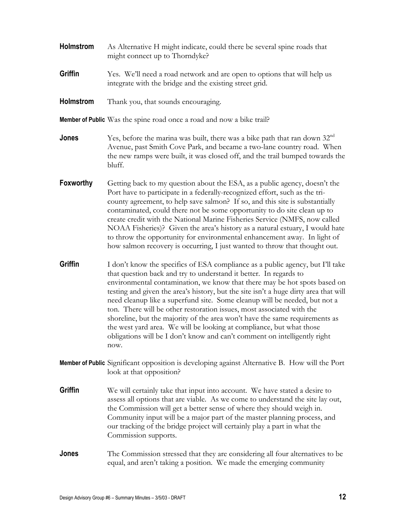| Holmstrom | As Alternative H might indicate, could there be several spine roads that<br>might connect up to Thorndyke?                                                                                                                                                                                                                                                                                                                                                                                                                                                                                                                                                                                                                  |
|-----------|-----------------------------------------------------------------------------------------------------------------------------------------------------------------------------------------------------------------------------------------------------------------------------------------------------------------------------------------------------------------------------------------------------------------------------------------------------------------------------------------------------------------------------------------------------------------------------------------------------------------------------------------------------------------------------------------------------------------------------|
| Griffin   | Yes. We'll need a road network and are open to options that will help us<br>integrate with the bridge and the existing street grid.                                                                                                                                                                                                                                                                                                                                                                                                                                                                                                                                                                                         |
| Holmstrom | Thank you, that sounds encouraging.                                                                                                                                                                                                                                                                                                                                                                                                                                                                                                                                                                                                                                                                                         |
|           | <b>Member of Public</b> Was the spine road once a road and now a bike trail?                                                                                                                                                                                                                                                                                                                                                                                                                                                                                                                                                                                                                                                |
| Jones     | Yes, before the marina was built, there was a bike path that ran down 32 <sup>nd</sup><br>Avenue, past Smith Cove Park, and became a two-lane country road. When<br>the new ramps were built, it was closed off, and the trail bumped towards the<br>bluff.                                                                                                                                                                                                                                                                                                                                                                                                                                                                 |
| Foxworthy | Getting back to my question about the ESA, as a public agency, doesn't the<br>Port have to participate in a federally-recognized effort, such as the tri-<br>county agreement, to help save salmon? If so, and this site is substantially<br>contaminated, could there not be some opportunity to do site clean up to<br>create credit with the National Marine Fisheries Service (NMFS, now called<br>NOAA Fisheries)? Given the area's history as a natural estuary, I would hate<br>to throw the opportunity for environmental enhancement away. In light of<br>how salmon recovery is occurring, I just wanted to throw that thought out.                                                                               |
| Griffin   | I don't know the specifics of ESA compliance as a public agency, but I'll take<br>that question back and try to understand it better. In regards to<br>environmental contamination, we know that there may be hot spots based on<br>testing and given the area's history, but the site isn't a huge dirty area that will<br>need cleanup like a superfund site. Some cleanup will be needed, but not a<br>ton. There will be other restoration issues, most associated with the<br>shoreline, but the majority of the area won't have the same requirements as<br>the west yard area. We will be looking at compliance, but what those<br>obligations will be I don't know and can't comment on intelligently right<br>now. |
|           | <b>Member of Public</b> Significant opposition is developing against Alternative B. How will the Port<br>look at that opposition?                                                                                                                                                                                                                                                                                                                                                                                                                                                                                                                                                                                           |
| Griffin   | We will certainly take that input into account. We have stated a desire to<br>assess all options that are viable. As we come to understand the site lay out,<br>the Commission will get a better sense of where they should weigh in.<br>Community input will be a major part of the master planning process, and<br>our tracking of the bridge project will certainly play a part in what the<br>Commission supports.                                                                                                                                                                                                                                                                                                      |
| Jones     | The Commission stressed that they are considering all four alternatives to be<br>equal, and aren't taking a position. We made the emerging community                                                                                                                                                                                                                                                                                                                                                                                                                                                                                                                                                                        |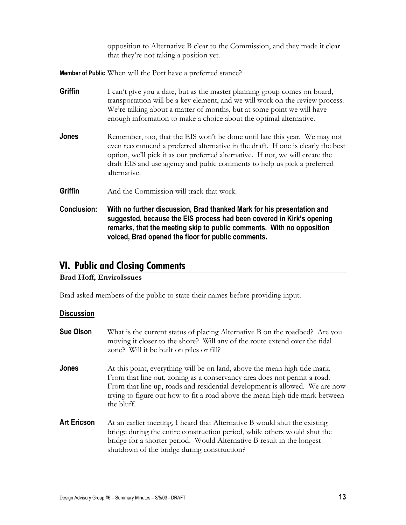opposition to Alternative B clear to the Commission, and they made it clear that they're not taking a position yet.

**Member of Public** When will the Port have a preferred stance?

| Griffin            | I can't give you a date, but as the master planning group comes on board,<br>transportation will be a key element, and we will work on the review process.<br>We're talking about a matter of months, but at some point we will have<br>enough information to make a choice about the optimal alternative.                                 |
|--------------------|--------------------------------------------------------------------------------------------------------------------------------------------------------------------------------------------------------------------------------------------------------------------------------------------------------------------------------------------|
| Jones              | Remember, too, that the EIS won't be done until late this year. We may not<br>even recommend a preferred alternative in the draft. If one is clearly the best<br>option, we'll pick it as our preferred alternative. If not, we will create the<br>draft EIS and use agency and pubic comments to help us pick a preferred<br>alternative. |
| Griffin            | And the Commission will track that work.                                                                                                                                                                                                                                                                                                   |
| <b>Conclusion:</b> | With no further discussion, Brad thanked Mark for his presentation and<br>suggested, because the EIS process had been covered in Kirk's opening<br>remarks, that the meeting skip to public comments. With no opposition<br>voiced, Brad opened the floor for public comments.                                                             |

### **VI. Public and Closing Comments**

#### **Brad Hoff, EnviroIssues**

Brad asked members of the public to state their names before providing input.

#### **Discussion**

| <b>Sue Olson</b>   | What is the current status of placing Alternative B on the roadbed? Are you<br>moving it closer to the shore? Will any of the route extend over the tidal<br>zone? Will it be built on piles or fill?                                                                                                                              |
|--------------------|------------------------------------------------------------------------------------------------------------------------------------------------------------------------------------------------------------------------------------------------------------------------------------------------------------------------------------|
| Jones              | At this point, everything will be on land, above the mean high tide mark.<br>From that line out, zoning as a conservancy area does not permit a road.<br>From that line up, roads and residential development is allowed. We are now<br>trying to figure out how to fit a road above the mean high tide mark between<br>the bluff. |
| <b>Art Ericson</b> | At an earlier meeting, I heard that Alternative B would shut the existing<br>bridge during the entire construction period, while others would shut the<br>bridge for a shorter period. Would Alternative B result in the longest<br>shutdown of the bridge during construction?                                                    |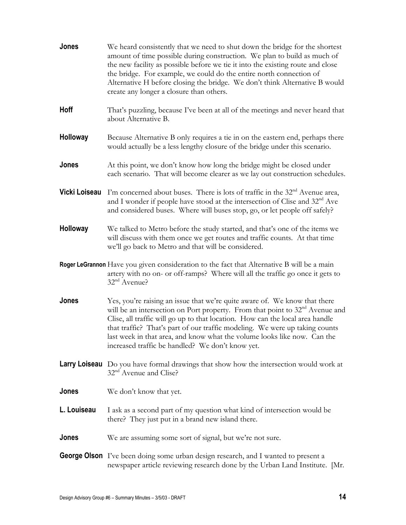| Jones           | We heard consistently that we need to shut down the bridge for the shortest<br>amount of time possible during construction. We plan to build as much of<br>the new facility as possible before we tie it into the existing route and close<br>the bridge. For example, we could do the entire north connection of<br>Alternative H before closing the bridge. We don't think Alternative B would<br>create any longer a closure than others.                           |
|-----------------|------------------------------------------------------------------------------------------------------------------------------------------------------------------------------------------------------------------------------------------------------------------------------------------------------------------------------------------------------------------------------------------------------------------------------------------------------------------------|
| Hoff            | That's puzzling, because I've been at all of the meetings and never heard that<br>about Alternative B.                                                                                                                                                                                                                                                                                                                                                                 |
| <b>Holloway</b> | Because Alternative B only requires a tie in on the eastern end, perhaps there<br>would actually be a less lengthy closure of the bridge under this scenario.                                                                                                                                                                                                                                                                                                          |
| Jones           | At this point, we don't know how long the bridge might be closed under<br>each scenario. That will become clearer as we lay out construction schedules.                                                                                                                                                                                                                                                                                                                |
| Vicki Loiseau   | I'm concerned about buses. There is lots of traffic in the $32nd$ Avenue area,<br>and I wonder if people have stood at the intersection of Clise and 32 <sup>nd</sup> Ave<br>and considered buses. Where will buses stop, go, or let people off safely?                                                                                                                                                                                                                |
| Holloway        | We talked to Metro before the study started, and that's one of the items we<br>will discuss with them once we get routes and traffic counts. At that time<br>we'll go back to Metro and that will be considered.                                                                                                                                                                                                                                                       |
|                 | <b>Roger LeGrannon</b> Have you given consideration to the fact that Alternative B will be a main<br>artery with no on- or off-ramps? Where will all the traffic go once it gets to<br>32 <sup>nd</sup> Avenue?                                                                                                                                                                                                                                                        |
| Jones           | Yes, you're raising an issue that we're quite aware of. We know that there<br>will be an intersection on Port property. From that point to 32 <sup>nd</sup> Avenue and<br>Clise, all traffic will go up to that location. How can the local area handle<br>that traffic? That's part of our traffic modeling. We were up taking counts<br>last week in that area, and know what the volume looks like now. Can the<br>increased traffic be handled? We don't know yet. |
|                 | <b>Larry Loiseau</b> Do you have formal drawings that show how the intersection would work at<br>32 <sup>nd</sup> Avenue and Clise?                                                                                                                                                                                                                                                                                                                                    |
| Jones           | We don't know that yet.                                                                                                                                                                                                                                                                                                                                                                                                                                                |
| L. Louiseau     | I ask as a second part of my question what kind of intersection would be<br>there? They just put in a brand new island there.                                                                                                                                                                                                                                                                                                                                          |
| Jones           | We are assuming some sort of signal, but we're not sure.                                                                                                                                                                                                                                                                                                                                                                                                               |
|                 | <b>George Olson</b> I've been doing some urban design research, and I wanted to present a<br>newspaper article reviewing research done by the Urban Land Institute. [Mr.                                                                                                                                                                                                                                                                                               |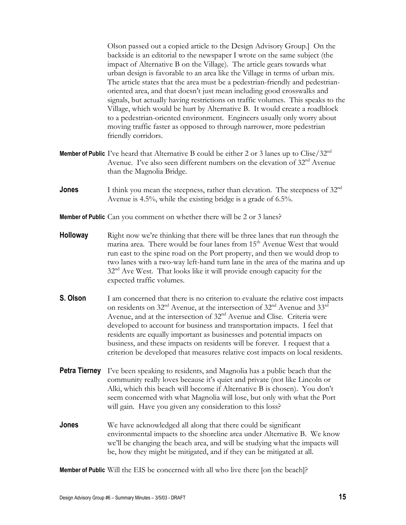Olson passed out a copied article to the Design Advisory Group.] On the backside is an editorial to the newspaper I wrote on the same subject (the impact of Alternative B on the Village). The article gears towards what urban design is favorable to an area like the Village in terms of urban mix. The article states that the area must be a pedestrian-friendly and pedestrianoriented area, and that doesn't just mean including good crosswalks and signals, but actually having restrictions on traffic volumes. This speaks to the Village, which would be hurt by Alternative B. It would create a roadblock to a pedestrian-oriented environment. Engineers usually only worry about moving traffic faster as opposed to through narrower, more pedestrian friendly corridors.

- Member of Public I've heard that Alternative B could be either 2 or 3 lanes up to Clise/32<sup>nd</sup> Avenue. I've also seen different numbers on the elevation of 32<sup>nd</sup> Avenue than the Magnolia Bridge.
- **Jones** I think you mean the steepness, rather than elevation. The steepness of 32<sup>nd</sup> Avenue is 4.5%, while the existing bridge is a grade of 6.5%.

**Member of Public** Can you comment on whether there will be 2 or 3 lanes?

- **Holloway** Right now we're thinking that there will be three lanes that run through the marina area. There would be four lanes from  $15<sup>th</sup>$  Avenue West that would run east to the spine road on the Port property, and then we would drop to two lanes with a two-way left-hand turn lane in the area of the marina and up 32nd Ave West. That looks like it will provide enough capacity for the expected traffic volumes.
- **S. Olson** I am concerned that there is no criterion to evaluate the relative cost impacts on residents on  $32<sup>nd</sup>$  Avenue, at the intersection of  $32<sup>nd</sup>$  Avenue and  $33<sup>rd</sup>$ Avenue, and at the intersection of 32<sup>nd</sup> Avenue and Clise. Criteria were developed to account for business and transportation impacts. I feel that residents are equally important as businesses and potential impacts on business, and these impacts on residents will be forever. I request that a criterion be developed that measures relative cost impacts on local residents.
- **Petra Tierney** I've been speaking to residents, and Magnolia has a public beach that the community really loves because it's quiet and private (not like Lincoln or Alki, which this beach will become if Alternative B is chosen). You don't seem concerned with what Magnolia will lose, but only with what the Port will gain. Have you given any consideration to this loss?
- **Jones** We have acknowledged all along that there could be significant environmental impacts to the shoreline area under Alternative B. We know we'll be changing the beach area, and will be studying what the impacts will be, how they might be mitigated, and if they can be mitigated at all.

**Member of Public** Will the EIS be concerned with all who live there [on the beach]?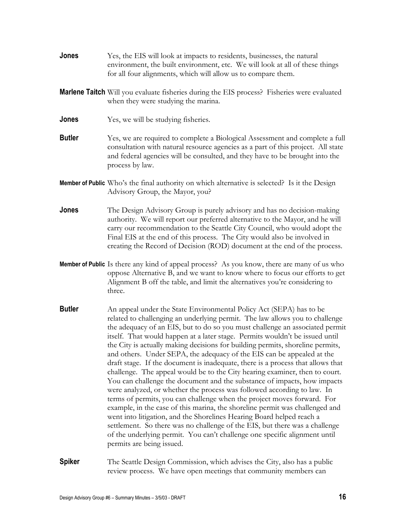- **Jones** Yes, the EIS will look at impacts to residents, businesses, the natural environment, the built environment, etc. We will look at all of these things for all four alignments, which will allow us to compare them.
- **Marlene Taitch** Will you evaluate fisheries during the EIS process? Fisheries were evaluated when they were studying the marina.
- **Jones** Yes, we will be studying fisheries.
- **Butler** Yes, we are required to complete a Biological Assessment and complete a full consultation with natural resource agencies as a part of this project. All state and federal agencies will be consulted, and they have to be brought into the process by law.
- **Member of Public** Who's the final authority on which alternative is selected? Is it the Design Advisory Group, the Mayor, you?
- **Jones The Design Advisory Group is purely advisory and has no decision-making** authority. We will report our preferred alternative to the Mayor, and he will carry our recommendation to the Seattle City Council, who would adopt the Final EIS at the end of this process. The City would also be involved in creating the Record of Decision (ROD) document at the end of the process.
- **Member of Public** Is there any kind of appeal process? As you know, there are many of us who oppose Alternative B, and we want to know where to focus our efforts to get Alignment B off the table, and limit the alternatives you're considering to three.
- **Butler** An appeal under the State Environmental Policy Act (SEPA) has to be related to challenging an underlying permit. The law allows you to challenge the adequacy of an EIS, but to do so you must challenge an associated permit itself. That would happen at a later stage. Permits wouldn't be issued until the City is actually making decisions for building permits, shoreline permits, and others. Under SEPA, the adequacy of the EIS can be appealed at the draft stage. If the document is inadequate, there is a process that allows that challenge. The appeal would be to the City hearing examiner, then to court. You can challenge the document and the substance of impacts, how impacts were analyzed, or whether the process was followed according to law. In terms of permits, you can challenge when the project moves forward. For example, in the case of this marina, the shoreline permit was challenged and went into litigation, and the Shorelines Hearing Board helped reach a settlement. So there was no challenge of the EIS, but there was a challenge of the underlying permit. You can't challenge one specific alignment until permits are being issued.
- **Spiker The Seattle Design Commission, which advises the City, also has a public** review process. We have open meetings that community members can